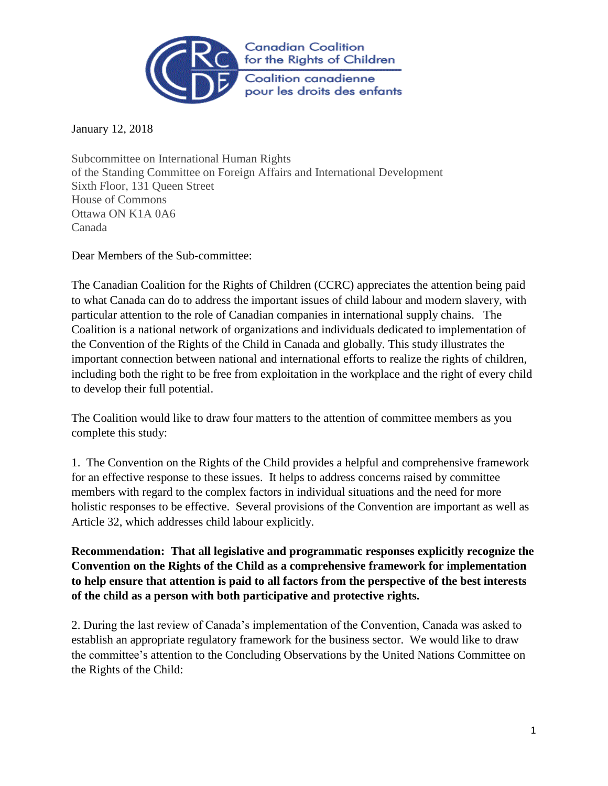

January 12, 2018

Subcommittee on International Human Rights of the Standing Committee on Foreign Affairs and International Development Sixth Floor, 131 Queen Street House of Commons Ottawa ON K1A 0A6 Canada

Dear Members of the Sub-committee:

The Canadian Coalition for the Rights of Children (CCRC) appreciates the attention being paid to what Canada can do to address the important issues of child labour and modern slavery, with particular attention to the role of Canadian companies in international supply chains. The Coalition is a national network of organizations and individuals dedicated to implementation of the Convention of the Rights of the Child in Canada and globally. This study illustrates the important connection between national and international efforts to realize the rights of children, including both the right to be free from exploitation in the workplace and the right of every child to develop their full potential.

The Coalition would like to draw four matters to the attention of committee members as you complete this study:

1. The Convention on the Rights of the Child provides a helpful and comprehensive framework for an effective response to these issues. It helps to address concerns raised by committee members with regard to the complex factors in individual situations and the need for more holistic responses to be effective. Several provisions of the Convention are important as well as Article 32, which addresses child labour explicitly.

**Recommendation: That all legislative and programmatic responses explicitly recognize the Convention on the Rights of the Child as a comprehensive framework for implementation to help ensure that attention is paid to all factors from the perspective of the best interests of the child as a person with both participative and protective rights.** 

2. During the last review of Canada's implementation of the Convention, Canada was asked to establish an appropriate regulatory framework for the business sector. We would like to draw the committee's attention to the Concluding Observations by the United Nations Committee on the Rights of the Child: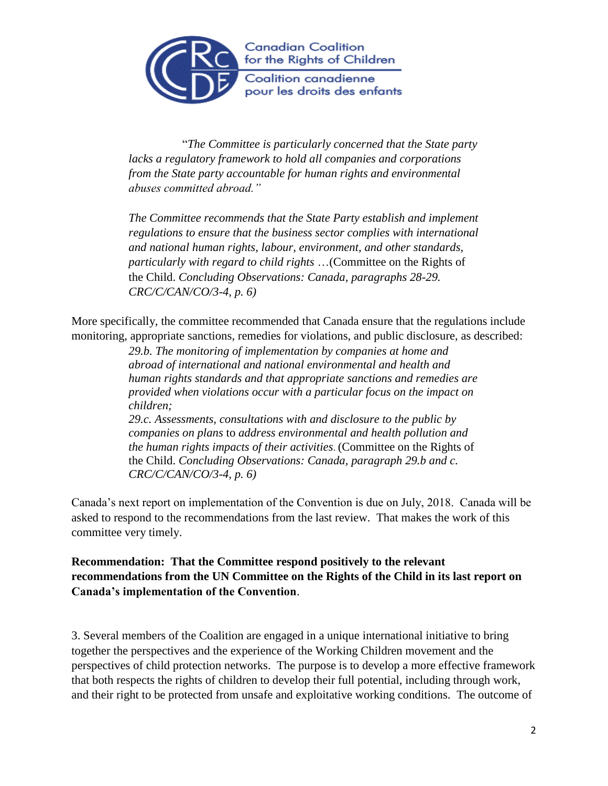

 "*The Committee is particularly concerned that the State party lacks a regulatory framework to hold all companies and corporations from the State party accountable for human rights and environmental abuses committed abroad."* 

*The Committee recommends that the State Party establish and implement regulations to ensure that the business sector complies with international and national human rights, labour, environment, and other standards, particularly with regard to child rights* …(Committee on the Rights of the Child. *Concluding Observations: Canada, paragraphs 28-29. CRC/C/CAN/CO/3-4, p. 6)*

More specifically, the committee recommended that Canada ensure that the regulations include monitoring, appropriate sanctions, remedies for violations, and public disclosure, as described:

> *29.b. The monitoring of implementation by companies at home and abroad of international and national environmental and health and human rights standards and that appropriate sanctions and remedies are provided when violations occur with a particular focus on the impact on children;*

> *29.c. Assessments, consultations with and disclosure to the public by companies on plans* to *address environmental and health pollution and the human rights impacts of their activities*. (Committee on the Rights of the Child. *Concluding Observations: Canada, paragraph 29.b and c. CRC/C/CAN/CO/3-4, p. 6)*

Canada's next report on implementation of the Convention is due on July, 2018. Canada will be asked to respond to the recommendations from the last review. That makes the work of this committee very timely.

**Recommendation: That the Committee respond positively to the relevant recommendations from the UN Committee on the Rights of the Child in its last report on Canada's implementation of the Convention**.

3. Several members of the Coalition are engaged in a unique international initiative to bring together the perspectives and the experience of the Working Children movement and the perspectives of child protection networks. The purpose is to develop a more effective framework that both respects the rights of children to develop their full potential, including through work, and their right to be protected from unsafe and exploitative working conditions. The outcome of